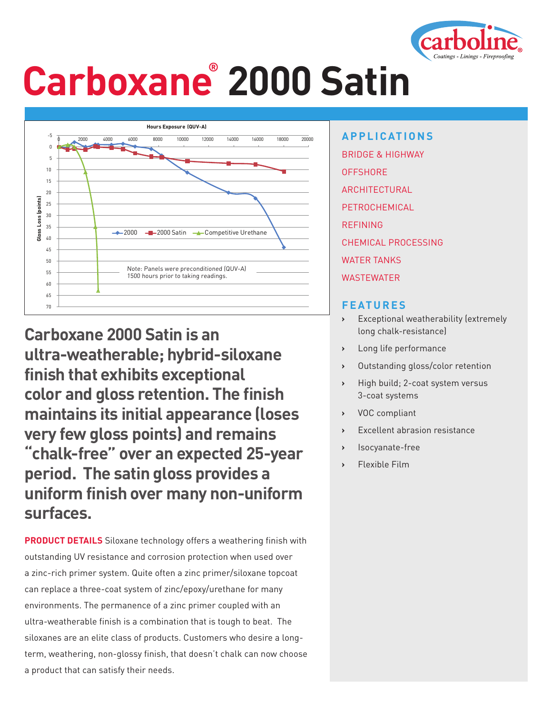

# **Carboxane® 2000 Satin**



**Carboxane 2000 Satin is an ultra-weatherable; hybrid-siloxane finish that exhibits exceptional color and gloss retention. The finish maintains its initial appearance (loses very few gloss points) and remains "chalk-free" over an expected 25-year period. The satin gloss provides a uniform finish over many non-uniform surfaces.** 

**PRODUCT DETAILS** Siloxane technology offers a weathering finish with outstanding UV resistance and corrosion protection when used over a zinc-rich primer system. Quite often a zinc primer/siloxane topcoat can replace a three-coat system of zinc/epoxy/urethane for many environments. The permanence of a zinc primer coupled with an ultra-weatherable finish is a combination that is tough to beat. The siloxanes are an elite class of products. Customers who desire a longterm, weathering, non-glossy finish, that doesn't chalk can now choose a product that can satisfy their needs.

**APPLICATIONS** BRIDGE & HIGHWAY **OFFSHORE** ARCHITECTURAL PETROCHEMICAL REFINING CHEMICAL PROCESSING WATER TANKS WASTEWATER

#### **FEATURES**

- **›** Exceptional weatherability (extremely long chalk-resistance)
- **›** Long life performance
- **›** Outstanding gloss/color retention
- **›** High build; 2-coat system versus 3-coat systems
- **›** VOC compliant
- **Excellent abrasion resistance**
- **›** Isocyanate-free
- **›** Flexible Film